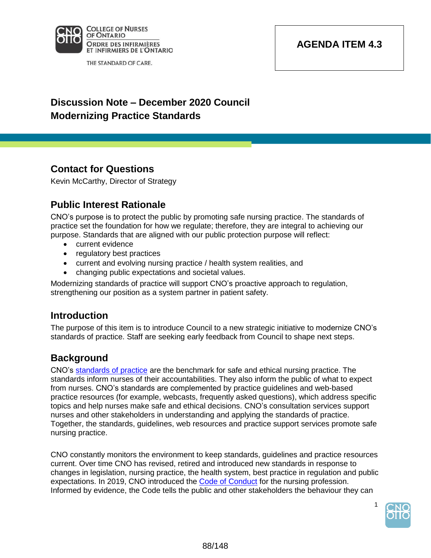

THE STANDARD OF CARE.

## **AGENDA ITEM 4.3**

# **Discussion Note – December 2020 Council Modernizing Practice Standards**

## **Contact for Questions**

Kevin McCarthy, Director of Strategy

## **Public Interest Rationale**

CNO's purpose is to protect the public by promoting safe nursing practice. The standards of practice set the foundation for how we regulate; therefore, they are integral to achieving our purpose. Standards that are aligned with our public protection purpose will reflect:

- current evidence
- regulatory best practices
- current and evolving nursing practice / health system realities, and
- changing public expectations and societal values.

Modernizing standards of practice will support CNO's proactive approach to regulation, strengthening our position as a system partner in patient safety.

#### **Introduction**

The purpose of this item is to introduce Council to a new strategic initiative to modernize CNO's standards of practice. Staff are seeking early feedback from Council to shape next steps.

#### **Background**

CNO's standards of practice are the benchmark for safe and ethical nursing practice. The standards inform nurses of their accountabilities. They also inform the public of what to expect from nurses. CNO's standards are complemented by practice guidelines and web-based practice resources (for example, webcasts, frequently asked questions), which address specific topics and help nurses make safe and ethical decisions. CNO's consultation services support nurses and other stakeholders in understanding and applying the standards of practice. Together, the standards, guidelines, web resources and practice support services promote safe nursing practice.

CNO constantly monitors the environment to keep standards, guidelines and practice resources current. Over time CNO has revised, retired and introduced new standards in response to changes in legislation, nursing practice, the health system, best practice in regulation and public expectations. In 2019, CNO introduced the Code of Conduct for the nursing profession. Informed by evidence, the Code tells the public and other stakeholders the behaviour they can



1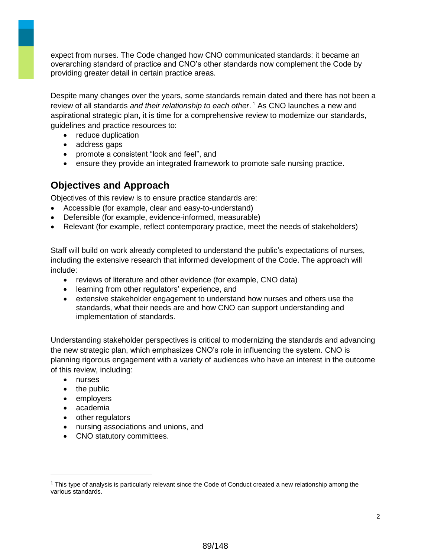expect from nurses. The Code changed how CNO communicated standards: it became an overarching standard of practice and CNO's other standards now complement the Code by providing greater detail in certain practice areas.

Despite many changes over the years, some standards remain dated and there has not been a review of all standards *and their relationship to each other*. <sup>1</sup> As CNO launches a new and aspirational strategic plan, it is time for a comprehensive review to modernize our standards, guidelines and practice resources to:

- reduce duplication
- address gaps
- promote a consistent "look and feel", and
- ensure they provide an integrated framework to promote safe nursing practice.

#### **Objectives and Approach**

Objectives of this review is to ensure practice standards are:

- Accessible (for example, clear and easy-to-understand)
- Defensible (for example, evidence-informed, measurable)
- Relevant (for example, reflect contemporary practice, meet the needs of stakeholders)

Staff will build on work already completed to understand the public's expectations of nurses, including the extensive research that informed development of the Code. The approach will include:

- reviews of literature and other evidence (for example, CNO data)
- learning from other regulators' experience, and
- extensive stakeholder engagement to understand how nurses and others use the standards, what their needs are and how CNO can support understanding and implementation of standards.

Understanding stakeholder perspectives is critical to modernizing the standards and advancing the new strategic plan, which emphasizes CNO's role in influencing the system. CNO is planning rigorous engagement with a variety of audiences who have an interest in the outcome of this review, including:

• nurses

- the public
- employers
- academia
- other regulators
- nursing associations and unions, and
- CNO statutory committees.

<sup>1</sup> This type of analysis is particularly relevant since the Code of Conduct created a new relationship among the various standards.